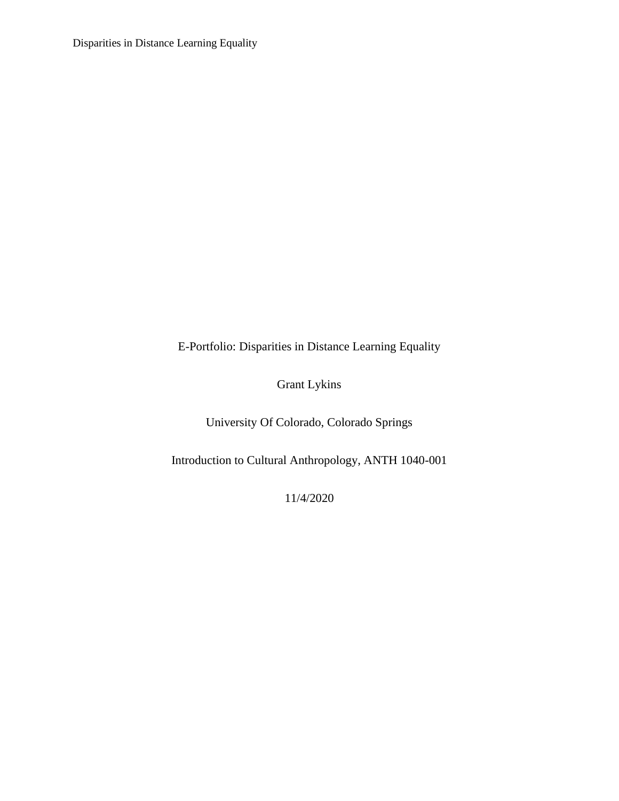E-Portfolio: Disparities in Distance Learning Equality

Grant Lykins

University Of Colorado, Colorado Springs

Introduction to Cultural Anthropology, ANTH 1040-001

11/4/2020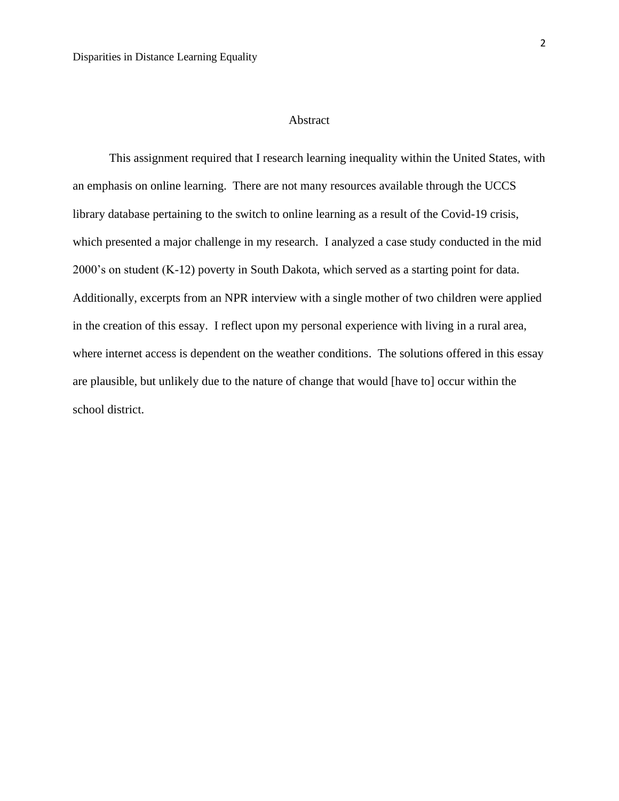## Abstract

This assignment required that I research learning inequality within the United States, with an emphasis on online learning. There are not many resources available through the UCCS library database pertaining to the switch to online learning as a result of the Covid-19 crisis, which presented a major challenge in my research. I analyzed a case study conducted in the mid 2000's on student (K-12) poverty in South Dakota, which served as a starting point for data. Additionally, excerpts from an NPR interview with a single mother of two children were applied in the creation of this essay. I reflect upon my personal experience with living in a rural area, where internet access is dependent on the weather conditions. The solutions offered in this essay are plausible, but unlikely due to the nature of change that would [have to] occur within the school district.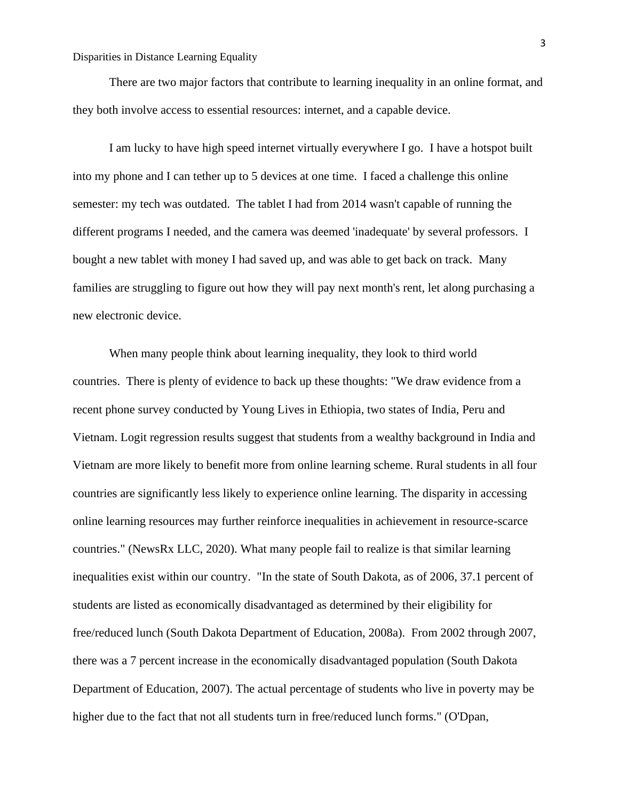There are two major factors that contribute to learning inequality in an online format, and they both involve access to essential resources: internet, and a capable device.

I am lucky to have high speed internet virtually everywhere I go. I have a hotspot built into my phone and I can tether up to 5 devices at one time. I faced a challenge this online semester: my tech was outdated. The tablet I had from 2014 wasn't capable of running the different programs I needed, and the camera was deemed 'inadequate' by several professors. I bought a new tablet with money I had saved up, and was able to get back on track. Many families are struggling to figure out how they will pay next month's rent, let along purchasing a new electronic device.

When many people think about learning inequality, they look to third world countries. There is plenty of evidence to back up these thoughts: "We draw evidence from a recent phone survey conducted by Young Lives in Ethiopia, two states of India, Peru and Vietnam. Logit regression results suggest that students from a wealthy background in India and Vietnam are more likely to benefit more from online learning scheme. Rural students in all four countries are significantly less likely to experience online learning. The disparity in accessing online learning resources may further reinforce inequalities in achievement in resource-scarce countries." (NewsRx LLC, 2020). What many people fail to realize is that similar learning inequalities exist within our country. "In the state of South Dakota, as of 2006, 37.1 percent of students are listed as economically disadvantaged as determined by their eligibility for free/reduced lunch (South Dakota Department of Education, 2008a). From 2002 through 2007, there was a 7 percent increase in the economically disadvantaged population (South Dakota Department of Education, 2007). The actual percentage of students who live in poverty may be higher due to the fact that not all students turn in free/reduced lunch forms." (O'Dpan,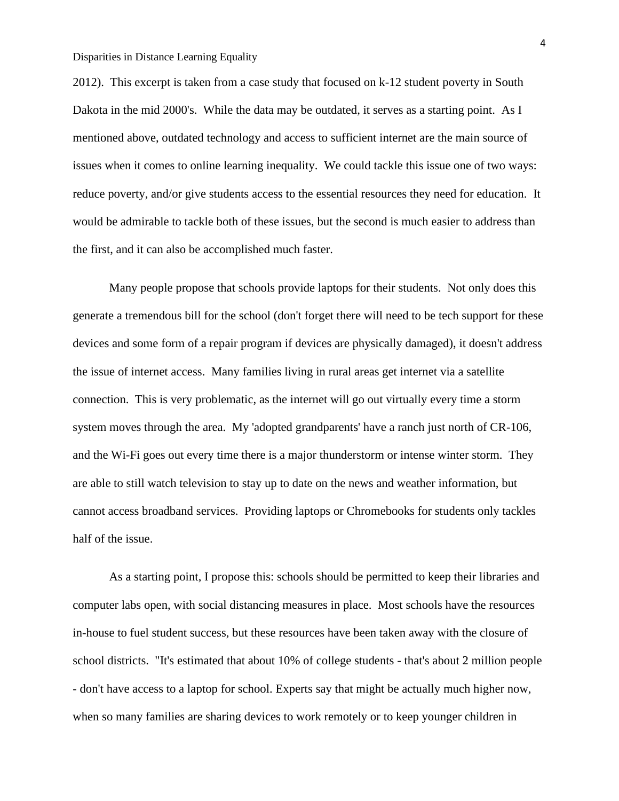2012). This excerpt is taken from a case study that focused on k-12 student poverty in South Dakota in the mid 2000's. While the data may be outdated, it serves as a starting point. As I mentioned above, outdated technology and access to sufficient internet are the main source of issues when it comes to online learning inequality. We could tackle this issue one of two ways: reduce poverty, and/or give students access to the essential resources they need for education. It would be admirable to tackle both of these issues, but the second is much easier to address than the first, and it can also be accomplished much faster.

Many people propose that schools provide laptops for their students. Not only does this generate a tremendous bill for the school (don't forget there will need to be tech support for these devices and some form of a repair program if devices are physically damaged), it doesn't address the issue of internet access. Many families living in rural areas get internet via a satellite connection. This is very problematic, as the internet will go out virtually every time a storm system moves through the area. My 'adopted grandparents' have a ranch just north of CR-106, and the Wi-Fi goes out every time there is a major thunderstorm or intense winter storm. They are able to still watch television to stay up to date on the news and weather information, but cannot access broadband services. Providing laptops or Chromebooks for students only tackles half of the issue.

As a starting point, I propose this: schools should be permitted to keep their libraries and computer labs open, with social distancing measures in place. Most schools have the resources in-house to fuel student success, but these resources have been taken away with the closure of school districts. "It's estimated that about 10% of college students - that's about 2 million people - don't have access to a laptop for school. Experts say that might be actually much higher now, when so many families are sharing devices to work remotely or to keep younger children in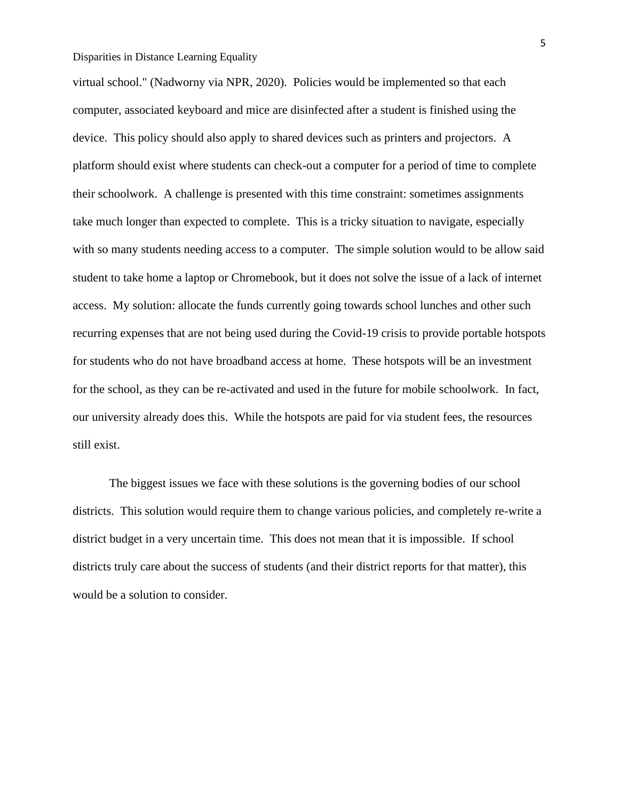virtual school." (Nadworny via NPR, 2020). Policies would be implemented so that each computer, associated keyboard and mice are disinfected after a student is finished using the device. This policy should also apply to shared devices such as printers and projectors. A platform should exist where students can check-out a computer for a period of time to complete their schoolwork. A challenge is presented with this time constraint: sometimes assignments take much longer than expected to complete. This is a tricky situation to navigate, especially with so many students needing access to a computer. The simple solution would to be allow said student to take home a laptop or Chromebook, but it does not solve the issue of a lack of internet access. My solution: allocate the funds currently going towards school lunches and other such recurring expenses that are not being used during the Covid-19 crisis to provide portable hotspots for students who do not have broadband access at home. These hotspots will be an investment for the school, as they can be re-activated and used in the future for mobile schoolwork. In fact, our university already does this. While the hotspots are paid for via student fees, the resources still exist.

The biggest issues we face with these solutions is the governing bodies of our school districts. This solution would require them to change various policies, and completely re-write a district budget in a very uncertain time. This does not mean that it is impossible. If school districts truly care about the success of students (and their district reports for that matter), this would be a solution to consider.